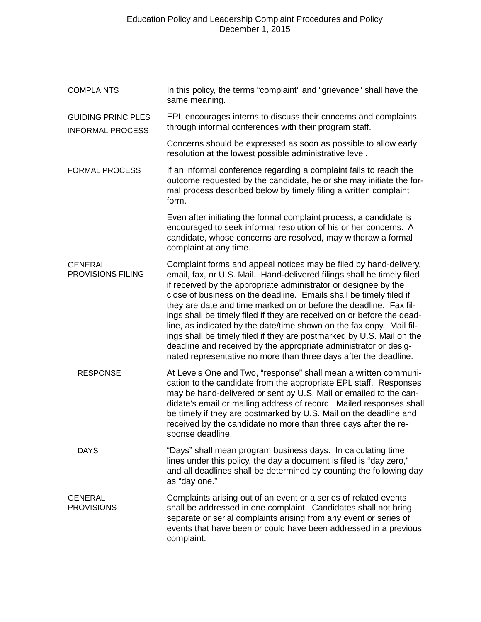| <b>COMPLAINTS</b>                                    | In this policy, the terms "complaint" and "grievance" shall have the<br>same meaning.                                                                                                                                                                                                                                                                                                                                                                                                                                                                                                                                                                                                                                        |
|------------------------------------------------------|------------------------------------------------------------------------------------------------------------------------------------------------------------------------------------------------------------------------------------------------------------------------------------------------------------------------------------------------------------------------------------------------------------------------------------------------------------------------------------------------------------------------------------------------------------------------------------------------------------------------------------------------------------------------------------------------------------------------------|
| <b>GUIDING PRINCIPLES</b><br><b>INFORMAL PROCESS</b> | EPL encourages interns to discuss their concerns and complaints<br>through informal conferences with their program staff.                                                                                                                                                                                                                                                                                                                                                                                                                                                                                                                                                                                                    |
|                                                      | Concerns should be expressed as soon as possible to allow early<br>resolution at the lowest possible administrative level.                                                                                                                                                                                                                                                                                                                                                                                                                                                                                                                                                                                                   |
| <b>FORMAL PROCESS</b>                                | If an informal conference regarding a complaint fails to reach the<br>outcome requested by the candidate, he or she may initiate the for-<br>mal process described below by timely filing a written complaint<br>form.                                                                                                                                                                                                                                                                                                                                                                                                                                                                                                       |
|                                                      | Even after initiating the formal complaint process, a candidate is<br>encouraged to seek informal resolution of his or her concerns. A<br>candidate, whose concerns are resolved, may withdraw a formal<br>complaint at any time.                                                                                                                                                                                                                                                                                                                                                                                                                                                                                            |
| <b>GENERAL</b><br>PROVISIONS FILING                  | Complaint forms and appeal notices may be filed by hand-delivery,<br>email, fax, or U.S. Mail. Hand-delivered filings shall be timely filed<br>if received by the appropriate administrator or designee by the<br>close of business on the deadline. Emails shall be timely filed if<br>they are date and time marked on or before the deadline. Fax fil-<br>ings shall be timely filed if they are received on or before the dead-<br>line, as indicated by the date/time shown on the fax copy. Mail fil-<br>ings shall be timely filed if they are postmarked by U.S. Mail on the<br>deadline and received by the appropriate administrator or desig-<br>nated representative no more than three days after the deadline. |
| <b>RESPONSE</b>                                      | At Levels One and Two, "response" shall mean a written communi-<br>cation to the candidate from the appropriate EPL staff. Responses<br>may be hand-delivered or sent by U.S. Mail or emailed to the can-<br>didate's email or mailing address of record. Mailed responses shall<br>be timely if they are postmarked by U.S. Mail on the deadline and<br>received by the candidate no more than three days after the re-<br>sponse deadline.                                                                                                                                                                                                                                                                                 |
| <b>DAYS</b>                                          | "Days" shall mean program business days. In calculating time<br>lines under this policy, the day a document is filed is "day zero,"<br>and all deadlines shall be determined by counting the following day<br>as "day one."                                                                                                                                                                                                                                                                                                                                                                                                                                                                                                  |
| <b>GENERAL</b><br><b>PROVISIONS</b>                  | Complaints arising out of an event or a series of related events<br>shall be addressed in one complaint. Candidates shall not bring<br>separate or serial complaints arising from any event or series of<br>events that have been or could have been addressed in a previous<br>complaint.                                                                                                                                                                                                                                                                                                                                                                                                                                   |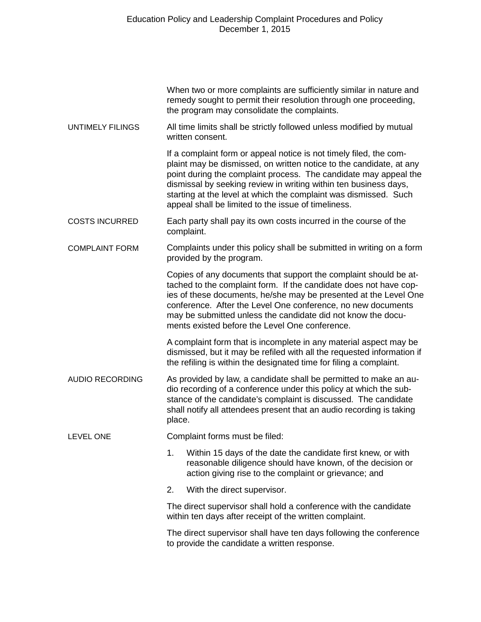|                         | When two or more complaints are sufficiently similar in nature and<br>remedy sought to permit their resolution through one proceeding,<br>the program may consolidate the complaints.                                                                                                                                                                                                                        |
|-------------------------|--------------------------------------------------------------------------------------------------------------------------------------------------------------------------------------------------------------------------------------------------------------------------------------------------------------------------------------------------------------------------------------------------------------|
| <b>UNTIMELY FILINGS</b> | All time limits shall be strictly followed unless modified by mutual<br>written consent.                                                                                                                                                                                                                                                                                                                     |
|                         | If a complaint form or appeal notice is not timely filed, the com-<br>plaint may be dismissed, on written notice to the candidate, at any<br>point during the complaint process. The candidate may appeal the<br>dismissal by seeking review in writing within ten business days,<br>starting at the level at which the complaint was dismissed. Such<br>appeal shall be limited to the issue of timeliness. |
| <b>COSTS INCURRED</b>   | Each party shall pay its own costs incurred in the course of the<br>complaint.                                                                                                                                                                                                                                                                                                                               |
| <b>COMPLAINT FORM</b>   | Complaints under this policy shall be submitted in writing on a form<br>provided by the program.                                                                                                                                                                                                                                                                                                             |
|                         | Copies of any documents that support the complaint should be at-<br>tached to the complaint form. If the candidate does not have cop-<br>ies of these documents, he/she may be presented at the Level One<br>conference. After the Level One conference, no new documents<br>may be submitted unless the candidate did not know the docu-<br>ments existed before the Level One conference.                  |
|                         | A complaint form that is incomplete in any material aspect may be<br>dismissed, but it may be refiled with all the requested information if<br>the refiling is within the designated time for filing a complaint.                                                                                                                                                                                            |
| <b>AUDIO RECORDING</b>  | As provided by law, a candidate shall be permitted to make an au-<br>dio recording of a conference under this policy at which the sub-<br>stance of the candidate's complaint is discussed. The candidate<br>shall notify all attendees present that an audio recording is taking<br>place.                                                                                                                  |
| <b>LEVEL ONE</b>        | Complaint forms must be filed:                                                                                                                                                                                                                                                                                                                                                                               |
|                         | 1.<br>Within 15 days of the date the candidate first knew, or with<br>reasonable diligence should have known, of the decision or<br>action giving rise to the complaint or grievance; and                                                                                                                                                                                                                    |
|                         | 2.<br>With the direct supervisor.                                                                                                                                                                                                                                                                                                                                                                            |
|                         | The direct supervisor shall hold a conference with the candidate<br>within ten days after receipt of the written complaint.                                                                                                                                                                                                                                                                                  |
|                         | The direct supervisor shall have ten days following the conference<br>to provide the candidate a written response.                                                                                                                                                                                                                                                                                           |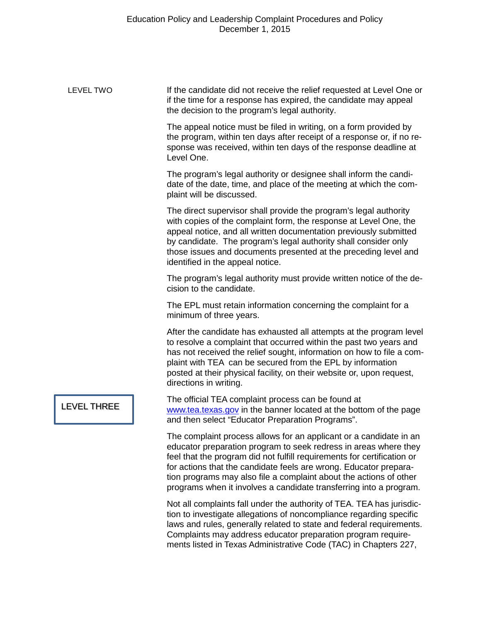| LEVEL TWO          | If the candidate did not receive the relief requested at Level One or<br>if the time for a response has expired, the candidate may appeal<br>the decision to the program's legal authority.                                                                                                                                                                                                                                        |
|--------------------|------------------------------------------------------------------------------------------------------------------------------------------------------------------------------------------------------------------------------------------------------------------------------------------------------------------------------------------------------------------------------------------------------------------------------------|
|                    | The appeal notice must be filed in writing, on a form provided by<br>the program, within ten days after receipt of a response or, if no re-<br>sponse was received, within ten days of the response deadline at<br>Level One.                                                                                                                                                                                                      |
|                    | The program's legal authority or designee shall inform the candi-<br>date of the date, time, and place of the meeting at which the com-<br>plaint will be discussed.                                                                                                                                                                                                                                                               |
|                    | The direct supervisor shall provide the program's legal authority<br>with copies of the complaint form, the response at Level One, the<br>appeal notice, and all written documentation previously submitted<br>by candidate. The program's legal authority shall consider only<br>those issues and documents presented at the preceding level and<br>identified in the appeal notice.                                              |
|                    | The program's legal authority must provide written notice of the de-<br>cision to the candidate.                                                                                                                                                                                                                                                                                                                                   |
|                    | The EPL must retain information concerning the complaint for a<br>minimum of three years.                                                                                                                                                                                                                                                                                                                                          |
|                    | After the candidate has exhausted all attempts at the program level<br>to resolve a complaint that occurred within the past two years and<br>has not received the relief sought, information on how to file a com-<br>plaint with TEA can be secured from the EPL by information<br>posted at their physical facility, on their website or, upon request,<br>directions in writing.                                                |
| <b>LEVEL THREE</b> | The official TEA complaint process can be found at<br>www.tea.texas.gov in the banner located at the bottom of the page<br>and then select "Educator Preparation Programs".                                                                                                                                                                                                                                                        |
|                    | The complaint process allows for an applicant or a candidate in an<br>educator preparation program to seek redress in areas where they<br>feel that the program did not fulfill requirements for certification or<br>for actions that the candidate feels are wrong. Educator prepara-<br>tion programs may also file a complaint about the actions of other<br>programs when it involves a candidate transferring into a program. |
|                    | Not all complaints fall under the authority of TEA. TEA has jurisdic-<br>tion to investigate allegations of noncompliance regarding specific<br>laws and rules, generally related to state and federal requirements.                                                                                                                                                                                                               |

Complaints may address educator preparation program requirements listed in Texas Administrative Code (TAC) in Chapters 227,